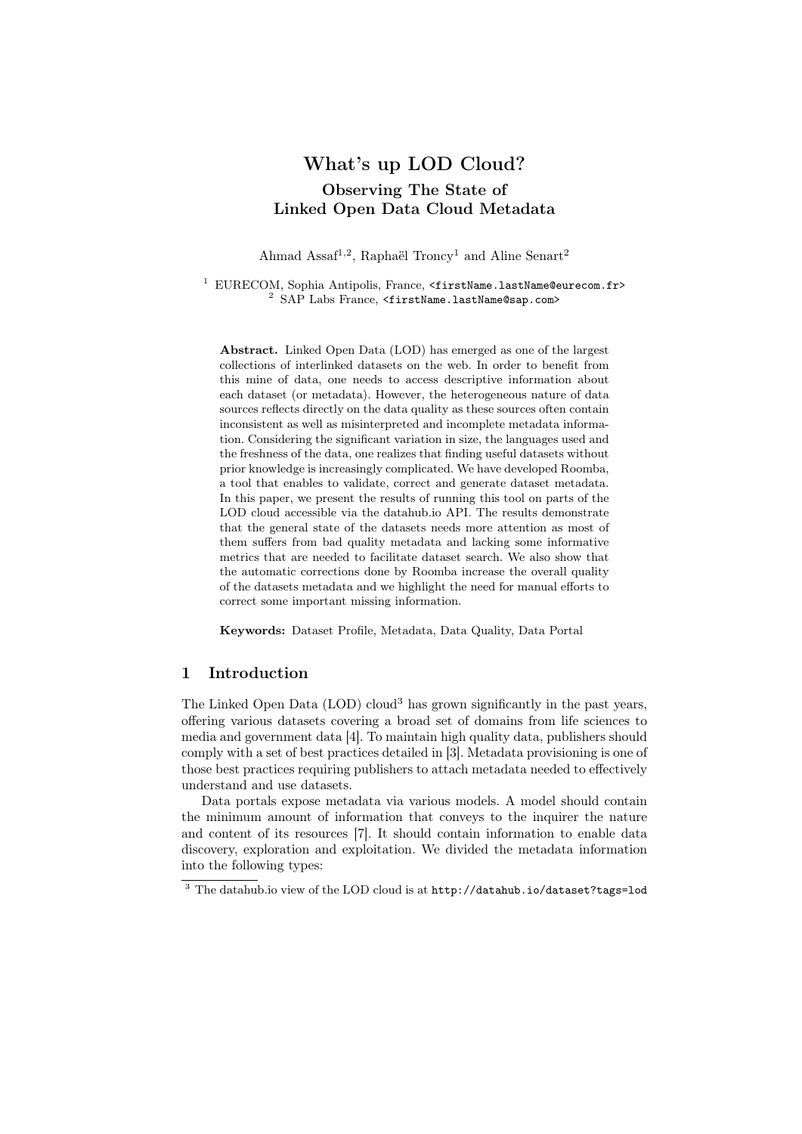# What's up LOD Cloud? Observing The State of Linked Open Data Cloud Metadata

Ahmad Assaf<sup>1,2</sup>, Raphaël Troncy<sup>1</sup> and Aline Senart<sup>2</sup>

<sup>1</sup> EURECOM, Sophia Antipolis, France, <firstName.lastName@eurecom.fr> <sup>2</sup> SAP Labs France, <firstName.lastName@sap.com>

Abstract. Linked Open Data (LOD) has emerged as one of the largest collections of interlinked datasets on the web. In order to benefit from this mine of data, one needs to access descriptive information about each dataset (or metadata). However, the heterogeneous nature of data sources reflects directly on the data quality as these sources often contain inconsistent as well as misinterpreted and incomplete metadata information. Considering the significant variation in size, the languages used and the freshness of the data, one realizes that finding useful datasets without prior knowledge is increasingly complicated. We have developed Roomba, a tool that enables to validate, correct and generate dataset metadata. In this paper, we present the results of running this tool on parts of the LOD cloud accessible via the datahub.io API. The results demonstrate that the general state of the datasets needs more attention as most of them suffers from bad quality metadata and lacking some informative metrics that are needed to facilitate dataset search. We also show that the automatic corrections done by Roomba increase the overall quality of the datasets metadata and we highlight the need for manual efforts to correct some important missing information.

Keywords: Dataset Profile, Metadata, Data Quality, Data Portal

# 1 Introduction

The Linked Open Data (LOD) cloud<sup>3</sup> has grown significantly in the past years, offering various datasets covering a broad set of domains from life sciences to media and government data [4]. To maintain high quality data, publishers should comply with a set of best practices detailed in [3]. Metadata provisioning is one of those best practices requiring publishers to attach metadata needed to effectively understand and use datasets.

Data portals expose metadata via various models. A model should contain the minimum amount of information that conveys to the inquirer the nature and content of its resources [7]. It should contain information to enable data discovery, exploration and exploitation. We divided the metadata information into the following types:

<sup>3</sup> The datahub.io view of the LOD cloud is at http://datahub.io/dataset?tags=lod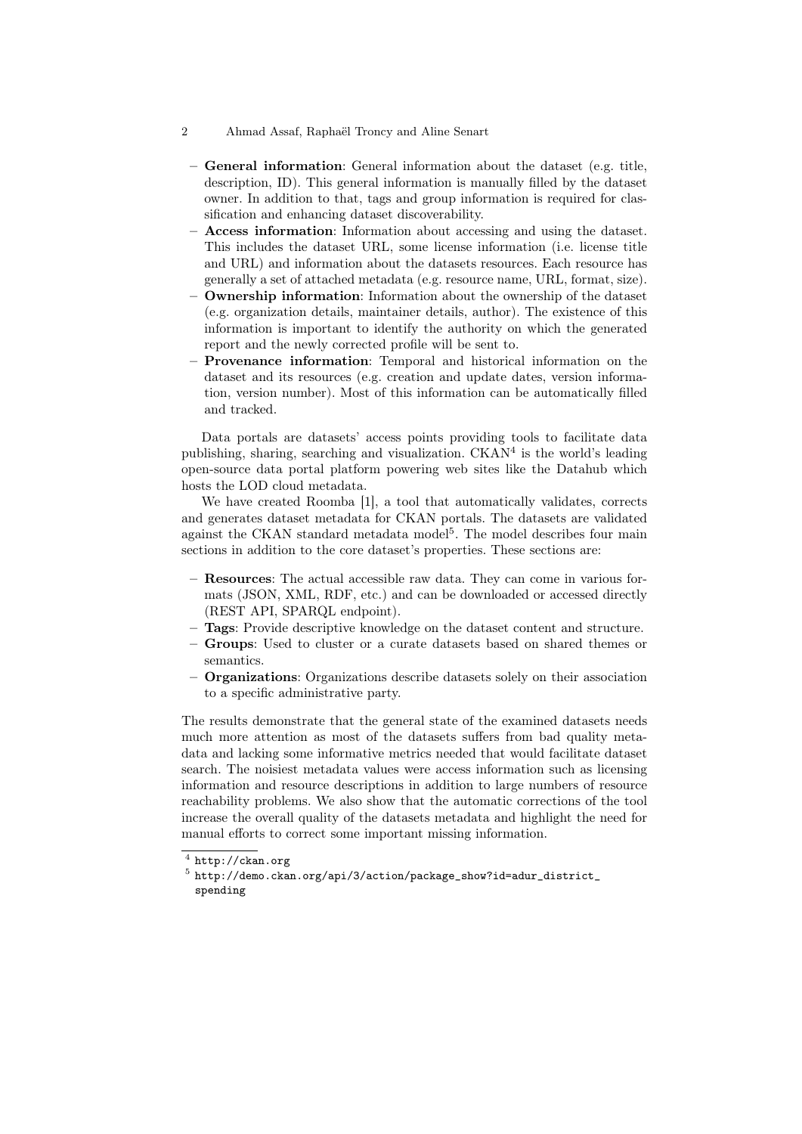- 2 Ahmad Assaf, Raphaël Troncy and Aline Senart
	- General information: General information about the dataset (e.g. title, description, ID). This general information is manually filled by the dataset owner. In addition to that, tags and group information is required for classification and enhancing dataset discoverability.
	- Access information: Information about accessing and using the dataset. This includes the dataset URL, some license information (i.e. license title and URL) and information about the datasets resources. Each resource has generally a set of attached metadata (e.g. resource name, URL, format, size).
	- Ownership information: Information about the ownership of the dataset (e.g. organization details, maintainer details, author). The existence of this information is important to identify the authority on which the generated report and the newly corrected profile will be sent to.
	- Provenance information: Temporal and historical information on the dataset and its resources (e.g. creation and update dates, version information, version number). Most of this information can be automatically filled and tracked.

Data portals are datasets' access points providing tools to facilitate data publishing, sharing, searching and visualization. CKAN<sup>4</sup> is the world's leading open-source data portal platform powering web sites like the Datahub which hosts the LOD cloud metadata.

We have created Roomba [1], a tool that automatically validates, corrects and generates dataset metadata for CKAN portals. The datasets are validated against the CKAN standard metadata model<sup>5</sup>. The model describes four main sections in addition to the core dataset's properties. These sections are:

- Resources: The actual accessible raw data. They can come in various formats (JSON, XML, RDF, etc.) and can be downloaded or accessed directly (REST API, SPARQL endpoint).
- Tags: Provide descriptive knowledge on the dataset content and structure.
- Groups: Used to cluster or a curate datasets based on shared themes or semantics.
- Organizations: Organizations describe datasets solely on their association to a specific administrative party.

The results demonstrate that the general state of the examined datasets needs much more attention as most of the datasets suffers from bad quality metadata and lacking some informative metrics needed that would facilitate dataset search. The noisiest metadata values were access information such as licensing information and resource descriptions in addition to large numbers of resource reachability problems. We also show that the automatic corrections of the tool increase the overall quality of the datasets metadata and highlight the need for manual efforts to correct some important missing information.

 $^4$  http://ckan.org

 $^5$ http://demo.ckan.org/api/3/action/package\_show?id=adur\_district\_ spending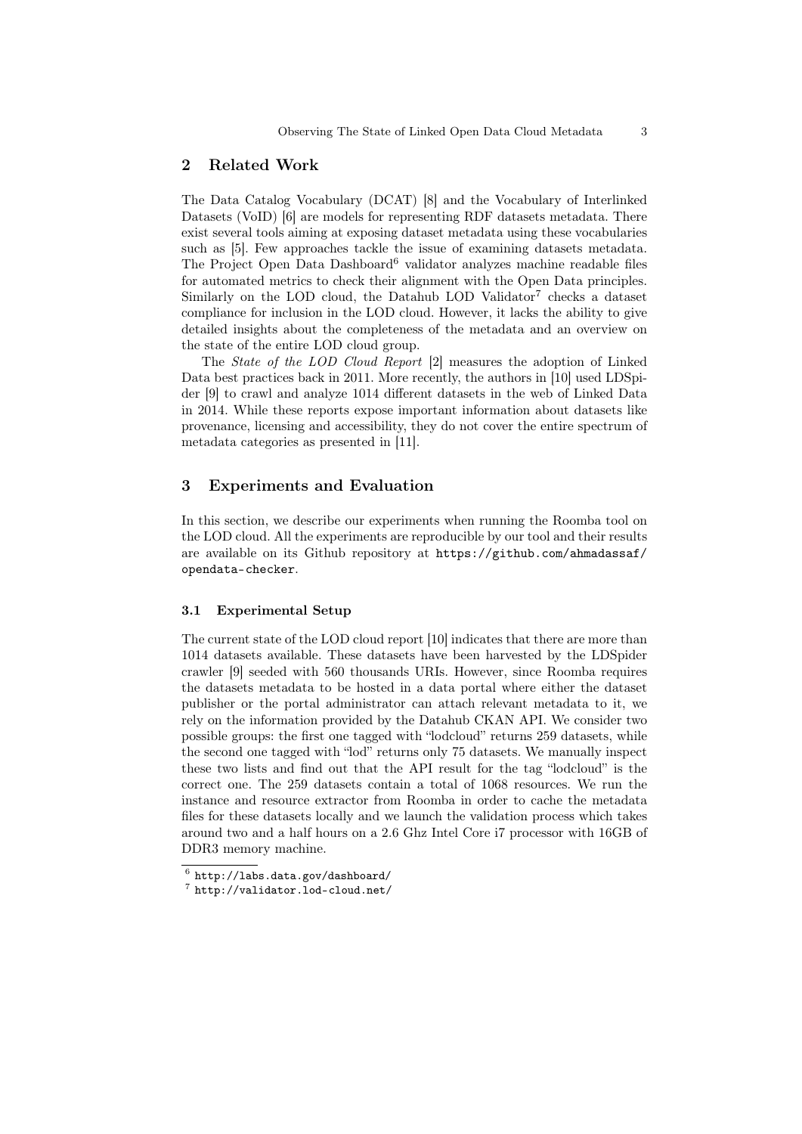### 2 Related Work

The Data Catalog Vocabulary (DCAT) [8] and the Vocabulary of Interlinked Datasets (VoID) [6] are models for representing RDF datasets metadata. There exist several tools aiming at exposing dataset metadata using these vocabularies such as [5]. Few approaches tackle the issue of examining datasets metadata. The Project Open Data Dashboard<sup>6</sup> validator analyzes machine readable files for automated metrics to check their alignment with the Open Data principles. Similarly on the LOD cloud, the Datahub LOD Validator<sup>7</sup> checks a dataset compliance for inclusion in the LOD cloud. However, it lacks the ability to give detailed insights about the completeness of the metadata and an overview on the state of the entire LOD cloud group.

The State of the LOD Cloud Report [2] measures the adoption of Linked Data best practices back in 2011. More recently, the authors in [10] used LDSpider [9] to crawl and analyze 1014 different datasets in the web of Linked Data in 2014. While these reports expose important information about datasets like provenance, licensing and accessibility, they do not cover the entire spectrum of metadata categories as presented in [11].

### 3 Experiments and Evaluation

In this section, we describe our experiments when running the Roomba tool on the LOD cloud. All the experiments are reproducible by our tool and their results are available on its Github repository at https://github.com/ahmadassaf/ opendata-checker.

#### 3.1 Experimental Setup

The current state of the LOD cloud report [10] indicates that there are more than 1014 datasets available. These datasets have been harvested by the LDSpider crawler [9] seeded with 560 thousands URIs. However, since Roomba requires the datasets metadata to be hosted in a data portal where either the dataset publisher or the portal administrator can attach relevant metadata to it, we rely on the information provided by the Datahub CKAN API. We consider two possible groups: the first one tagged with "lodcloud" returns 259 datasets, while the second one tagged with "lod" returns only 75 datasets. We manually inspect these two lists and find out that the API result for the tag "lodcloud" is the correct one. The 259 datasets contain a total of 1068 resources. We run the instance and resource extractor from Roomba in order to cache the metadata files for these datasets locally and we launch the validation process which takes around two and a half hours on a 2.6 Ghz Intel Core i7 processor with 16GB of DDR3 memory machine.

 $^6$  http://labs.data.gov/dashboard/

<sup>7</sup> http://validator.lod-cloud.net/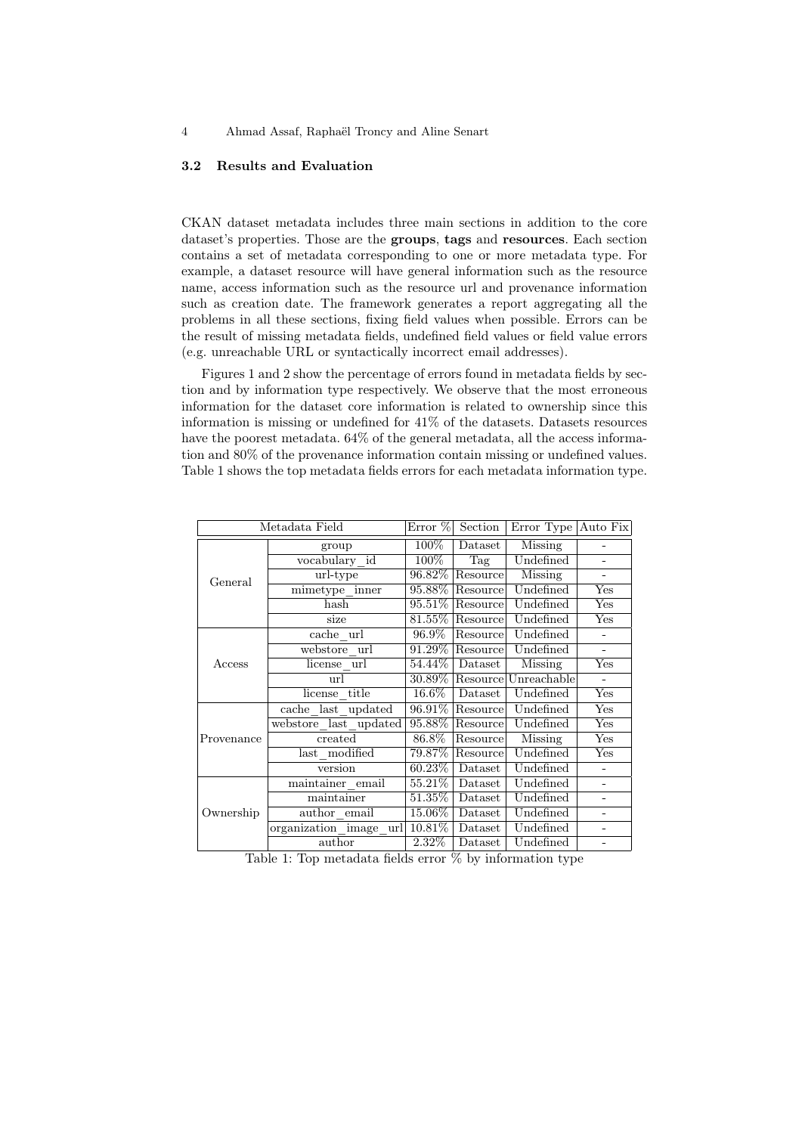#### 3.2 Results and Evaluation

CKAN dataset metadata includes three main sections in addition to the core dataset's properties. Those are the groups, tags and resources. Each section contains a set of metadata corresponding to one or more metadata type. For example, a dataset resource will have general information such as the resource name, access information such as the resource url and provenance information such as creation date. The framework generates a report aggregating all the problems in all these sections, fixing field values when possible. Errors can be the result of missing metadata fields, undefined field values or field value errors (e.g. unreachable URL or syntactically incorrect email addresses).

Figures 1 and 2 show the percentage of errors found in metadata fields by section and by information type respectively. We observe that the most erroneous information for the dataset core information is related to ownership since this information is missing or undefined for 41% of the datasets. Datasets resources have the poorest metadata.  $64\%$  of the general metadata, all the access information and 80% of the provenance information contain missing or undefined values. Table 1 shows the top metadata fields errors for each metadata information type.

| Metadata Field |                        | Error $%$ | Section  | Error Type Auto Fix |                           |
|----------------|------------------------|-----------|----------|---------------------|---------------------------|
| General        | group                  | 100%      | Dataset  | Missing             |                           |
|                | vocabulary id          | $100\%$   | Tag      | Undefined           |                           |
|                | url-type               | 96.82\%   | Resource | Missing             | ÷,                        |
|                | mimetype inner         | 95.88%    | Resource | Undefined           | $\overline{\mathrm{Yes}}$ |
|                | hash                   | 95.51\%   | Resource | Undefined           | Yes                       |
|                | size                   | $81.55\%$ | Resource | Undefined           | Yes                       |
| Access         | cache url              | 96.9%     | Resource | Undefined           | $\overline{\phantom{0}}$  |
|                | webstore url           | $91.29\%$ | Resource | Undefined           | $\overline{\phantom{a}}$  |
|                | license url            | $54.44\%$ | Dataset  | Missing             | Yes                       |
|                | url                    | 30.89%    | Resource | Unreachable         | $\overline{\phantom{a}}$  |
|                | license title          | 16.6%     | Dataset  | Undefined           | Yes                       |
| Provenance     | cache last updated     | 96.91\%   | Resource | Undefined           | Yes                       |
|                | webstore last updated  | 95.88%    | Resource | Undefined           | Yes                       |
|                | created                | 86.8%     | Resource | Missing             | Yes                       |
|                | last modified          | 79.87%    | Resource | Undefined           | Yes                       |
|                | version                | $60.23\%$ | Dataset  | Undefined           | ÷,                        |
| Ownership      | maintainer email       | 55.21\%   | Dataset  | Undefined           | $\overline{\phantom{0}}$  |
|                | maintainer             | 51.35%    | Dataset  | Undefined           |                           |
|                | author email           | 15.06%    | Dataset  | Undefined           | ۰                         |
|                | organization image url | 10.81\%   | Dataset  | Undefined           |                           |
|                | author                 | $2.32\%$  | Dataset  | Undefined           |                           |

Table 1: Top metadata fields error % by information type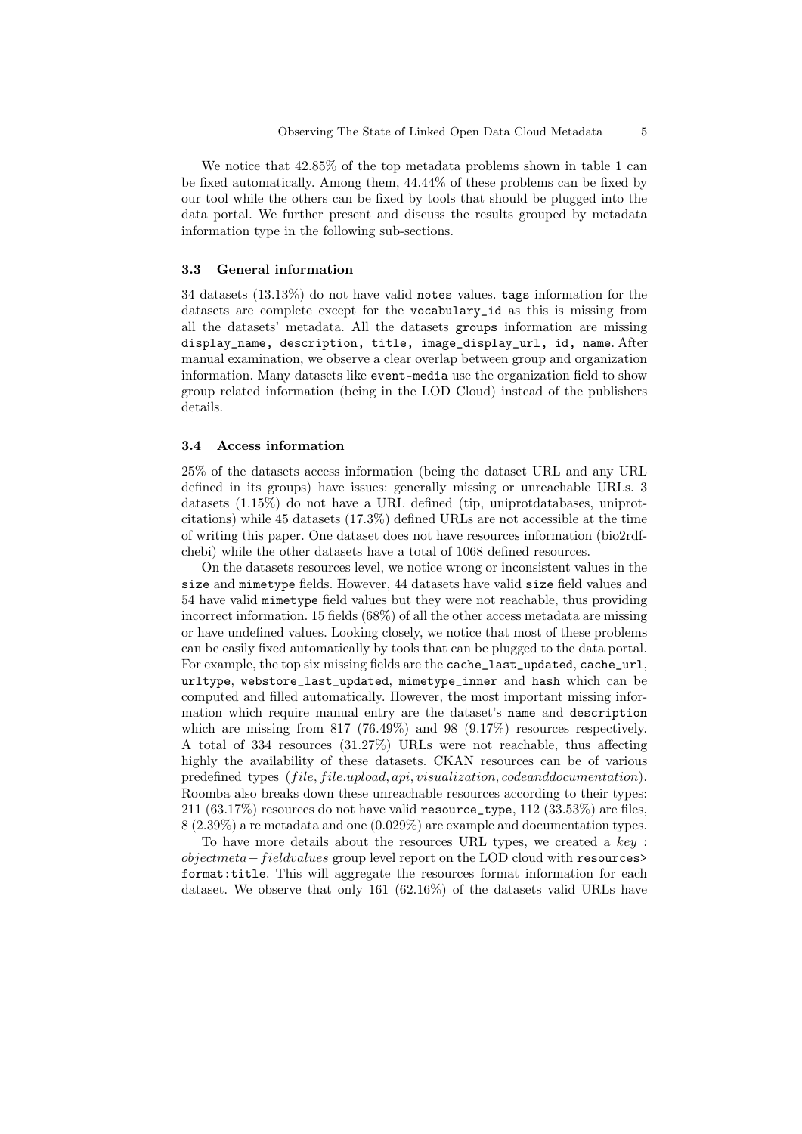We notice that 42.85% of the top metadata problems shown in table 1 can be fixed automatically. Among them, 44.44% of these problems can be fixed by our tool while the others can be fixed by tools that should be plugged into the data portal. We further present and discuss the results grouped by metadata information type in the following sub-sections.

#### 3.3 General information

34 datasets (13.13%) do not have valid notes values. tags information for the datasets are complete except for the vocabulary\_id as this is missing from all the datasets' metadata. All the datasets groups information are missing display\_name, description, title, image\_display\_url, id, name. After manual examination, we observe a clear overlap between group and organization information. Many datasets like event-media use the organization field to show group related information (being in the LOD Cloud) instead of the publishers details.

#### 3.4 Access information

25% of the datasets access information (being the dataset URL and any URL defined in its groups) have issues: generally missing or unreachable URLs. 3 datasets (1.15%) do not have a URL defined (tip, uniprotdatabases, uniprotcitations) while 45 datasets (17.3%) defined URLs are not accessible at the time of writing this paper. One dataset does not have resources information (bio2rdfchebi) while the other datasets have a total of 1068 defined resources.

On the datasets resources level, we notice wrong or inconsistent values in the size and mimetype fields. However, 44 datasets have valid size field values and 54 have valid mimetype field values but they were not reachable, thus providing incorrect information. 15 fields (68%) of all the other access metadata are missing or have undefined values. Looking closely, we notice that most of these problems can be easily fixed automatically by tools that can be plugged to the data portal. For example, the top six missing fields are the cache\_last\_updated, cache\_url, urltype, webstore\_last\_updated, mimetype\_inner and hash which can be computed and filled automatically. However, the most important missing information which require manual entry are the dataset's name and description which are missing from  $817$  (76.49%) and 98 (9.17%) resources respectively. A total of 334 resources (31.27%) URLs were not reachable, thus affecting highly the availability of these datasets. CKAN resources can be of various predefined types (file, file.upload, api, visualization, codeanddocumentation). Roomba also breaks down these unreachable resources according to their types: 211 (63.17%) resources do not have valid resource\_type,  $112$  (33.53%) are files, 8 (2.39%) a re metadata and one (0.029%) are example and documentation types.

To have more details about the resources URL types, we created a key : objectmeta−f ieldvalues group level report on the LOD cloud with resources> format:title. This will aggregate the resources format information for each dataset. We observe that only 161 (62.16%) of the datasets valid URLs have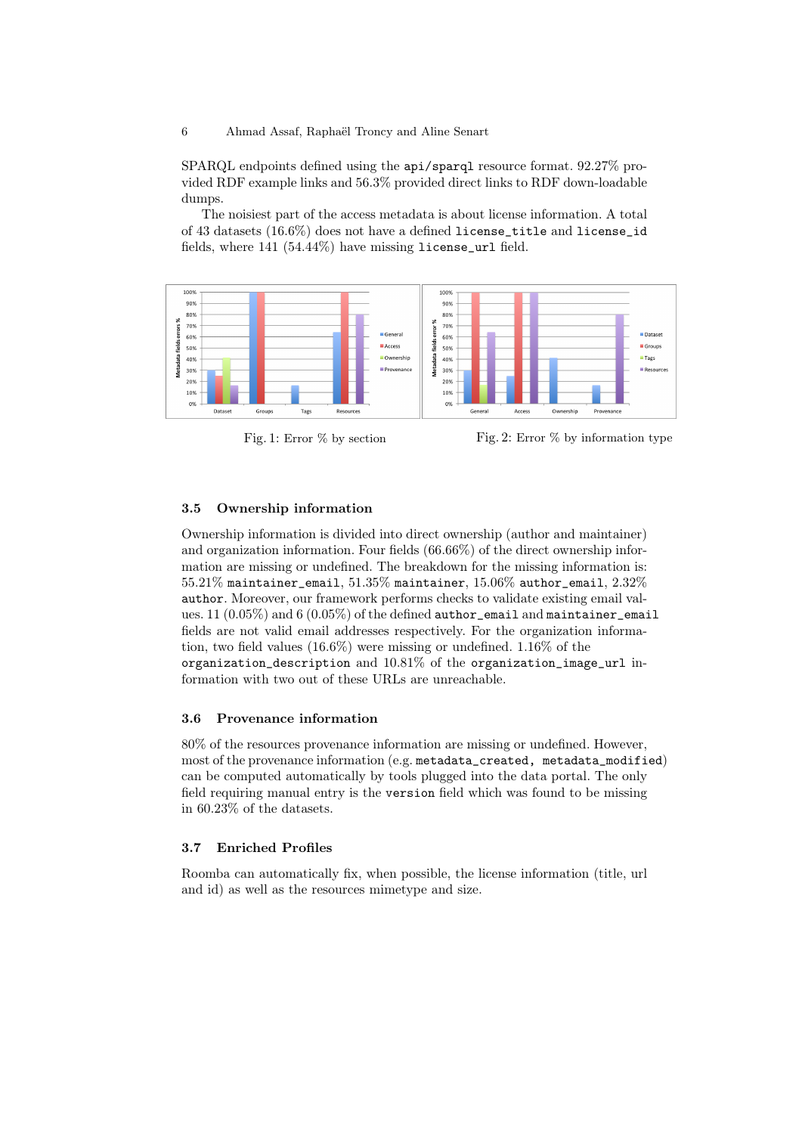6 Ahmad Assaf, Raphaël Troncy and Aline Senart

SPARQL endpoints defined using the api/sparql resource format. 92.27% provided RDF example links and 56.3% provided direct links to RDF down-loadable dumps.

The noisiest part of the access metadata is about license information. A total of 43 datasets (16.6%) does not have a defined license\_title and license\_id fields, where 141 (54.44%) have missing license\_url field.



Fig. 1: Error  $\%$  by section Fig. 2: Error  $\%$  by information type

#### 3.5 Ownership information

Ownership information is divided into direct ownership (author and maintainer) and organization information. Four fields (66.66%) of the direct ownership information are missing or undefined. The breakdown for the missing information is:  $55.21\%$  maintainer\_email,  $51.35\%$  maintainer,  $15.06\%$  author\_email,  $2.32\%$ author. Moreover, our framework performs checks to validate existing email values. 11  $(0.05\%)$  and 6  $(0.05\%)$  of the defined author\_email and maintainer\_email fields are not valid email addresses respectively. For the organization information, two field values (16.6%) were missing or undefined. 1.16% of the organization\_description and 10.81% of the organization\_image\_url information with two out of these URLs are unreachable.

## 3.6 Provenance information

80% of the resources provenance information are missing or undefined. However, most of the provenance information (e.g. metadata created, metadata modified) can be computed automatically by tools plugged into the data portal. The only field requiring manual entry is the version field which was found to be missing in 60.23% of the datasets.

### 3.7 Enriched Profiles

Roomba can automatically fix, when possible, the license information (title, url and id) as well as the resources mimetype and size.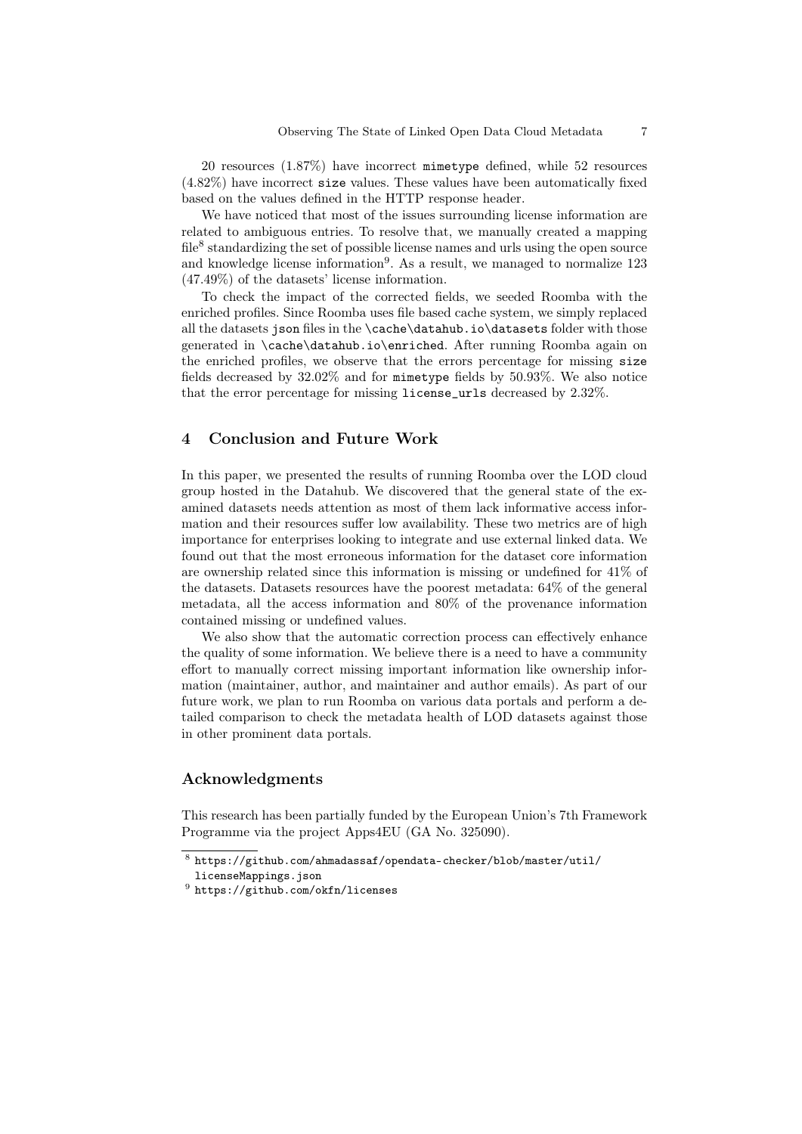20 resources (1.87%) have incorrect mimetype defined, while 52 resources (4.82%) have incorrect size values. These values have been automatically fixed based on the values defined in the HTTP response header.

We have noticed that most of the issues surrounding license information are related to ambiguous entries. To resolve that, we manually created a mapping  $file<sup>8</sup>$  standardizing the set of possible license names and urls using the open source and knowledge license information<sup>9</sup>. As a result, we managed to normalize 123 (47.49%) of the datasets' license information.

To check the impact of the corrected fields, we seeded Roomba with the enriched profiles. Since Roomba uses file based cache system, we simply replaced all the datasets json files in the \cache\datahub.io\datasets folder with those generated in \cache\datahub.io\enriched. After running Roomba again on the enriched profiles, we observe that the errors percentage for missing size fields decreased by 32.02% and for mimetype fields by 50.93%. We also notice that the error percentage for missing license\_urls decreased by 2.32%.

# 4 Conclusion and Future Work

In this paper, we presented the results of running Roomba over the LOD cloud group hosted in the Datahub. We discovered that the general state of the examined datasets needs attention as most of them lack informative access information and their resources suffer low availability. These two metrics are of high importance for enterprises looking to integrate and use external linked data. We found out that the most erroneous information for the dataset core information are ownership related since this information is missing or undefined for 41% of the datasets. Datasets resources have the poorest metadata: 64% of the general metadata, all the access information and 80% of the provenance information contained missing or undefined values.

We also show that the automatic correction process can effectively enhance the quality of some information. We believe there is a need to have a community effort to manually correct missing important information like ownership information (maintainer, author, and maintainer and author emails). As part of our future work, we plan to run Roomba on various data portals and perform a detailed comparison to check the metadata health of LOD datasets against those in other prominent data portals.

# Acknowledgments

This research has been partially funded by the European Union's 7th Framework Programme via the project Apps4EU (GA No. 325090).

 $^8$ https://github.com/ahmadassaf/opendata-checker/blob/master/util/

licenseMappings.json

 $^9$  https://github.com/okfn/licenses